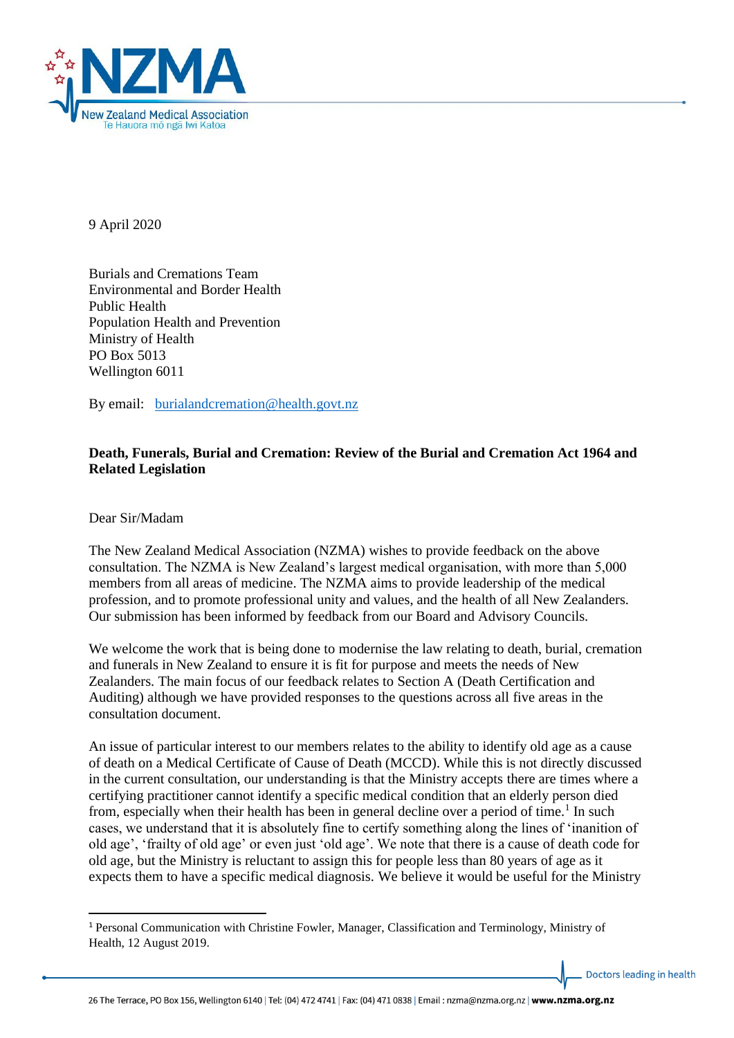

9 April 2020

Burials and Cremations Team Environmental and Border Health Public Health Population Health and Prevention Ministry of Health PO Box 5013 Wellington 6011

By email: [burialandcremation@health.govt.nz](mailto:burialandcremation@health.govt.nz)

### **Death, Funerals, Burial and Cremation: Review of the Burial and Cremation Act 1964 and Related Legislation**

Dear Sir/Madam

1

The New Zealand Medical Association (NZMA) wishes to provide feedback on the above consultation. The NZMA is New Zealand's largest medical organisation, with more than 5,000 members from all areas of medicine. The NZMA aims to provide leadership of the medical profession, and to promote professional unity and values, and the health of all New Zealanders. Our submission has been informed by feedback from our Board and Advisory Councils.

We welcome the work that is being done to modernise the law relating to death, burial, cremation and funerals in New Zealand to ensure it is fit for purpose and meets the needs of New Zealanders. The main focus of our feedback relates to Section A (Death Certification and Auditing) although we have provided responses to the questions across all five areas in the consultation document.

An issue of particular interest to our members relates to the ability to identify old age as a cause of death on a Medical Certificate of Cause of Death (MCCD). While this is not directly discussed in the current consultation, our understanding is that the Ministry accepts there are times where a certifying practitioner cannot identify a specific medical condition that an elderly person died from, especially when their health has been in general decline over a period of time.<sup>1</sup> In such cases, we understand that it is absolutely fine to certify something along the lines of 'inanition of old age', 'frailty of old age' or even just 'old age'. We note that there is a cause of death code for old age, but the Ministry is reluctant to assign this for people less than 80 years of age as it expects them to have a specific medical diagnosis. We believe it would be useful for the Ministry

<sup>1</sup> Personal Communication with Christine Fowler, Manager, Classification and Terminology, Ministry of Health, 12 August 2019.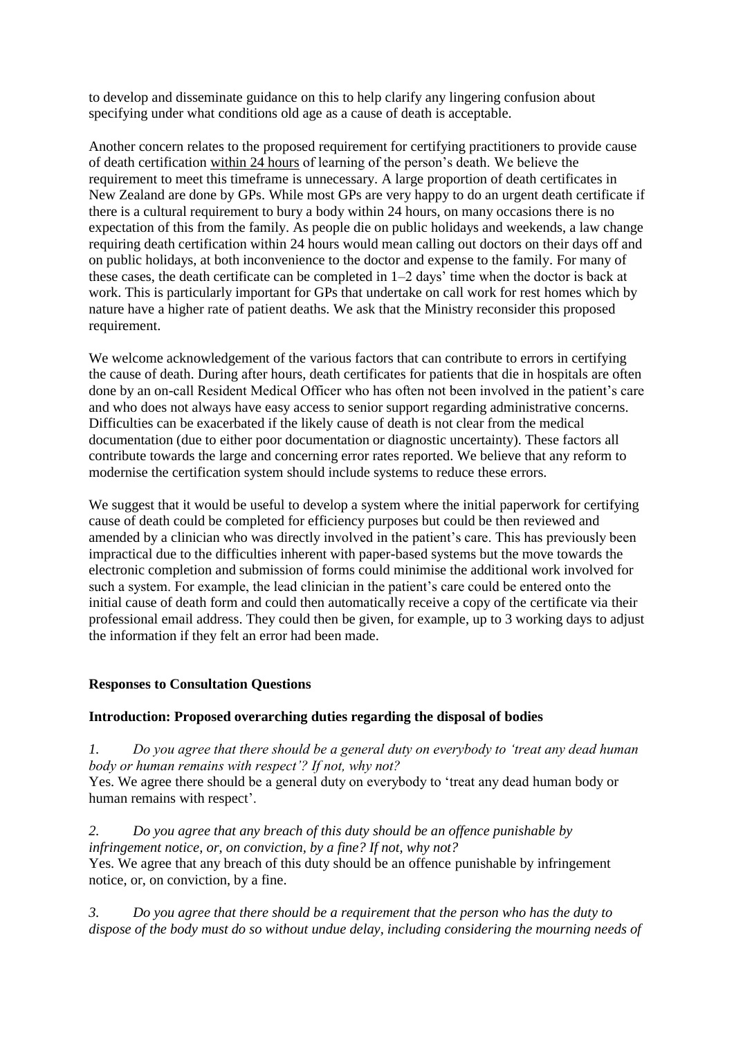to develop and disseminate guidance on this to help clarify any lingering confusion about specifying under what conditions old age as a cause of death is acceptable.

Another concern relates to the proposed requirement for certifying practitioners to provide cause of death certification within 24 hours of learning of the person's death. We believe the requirement to meet this timeframe is unnecessary. A large proportion of death certificates in New Zealand are done by GPs. While most GPs are very happy to do an urgent death certificate if there is a cultural requirement to bury a body within 24 hours, on many occasions there is no expectation of this from the family. As people die on public holidays and weekends, a law change requiring death certification within 24 hours would mean calling out doctors on their days off and on public holidays, at both inconvenience to the doctor and expense to the family. For many of these cases, the death certificate can be completed in  $1-2$  days<sup>3</sup> time when the doctor is back at work. This is particularly important for GPs that undertake on call work for rest homes which by nature have a higher rate of patient deaths. We ask that the Ministry reconsider this proposed requirement.

We welcome acknowledgement of the various factors that can contribute to errors in certifying the cause of death. During after hours, death certificates for patients that die in hospitals are often done by an on-call Resident Medical Officer who has often not been involved in the patient's care and who does not always have easy access to senior support regarding administrative concerns. Difficulties can be exacerbated if the likely cause of death is not clear from the medical documentation (due to either poor documentation or diagnostic uncertainty). These factors all contribute towards the large and concerning error rates reported. We believe that any reform to modernise the certification system should include systems to reduce these errors.

We suggest that it would be useful to develop a system where the initial paperwork for certifying cause of death could be completed for efficiency purposes but could be then reviewed and amended by a clinician who was directly involved in the patient's care. This has previously been impractical due to the difficulties inherent with paper-based systems but the move towards the electronic completion and submission of forms could minimise the additional work involved for such a system. For example, the lead clinician in the patient's care could be entered onto the initial cause of death form and could then automatically receive a copy of the certificate via their professional email address. They could then be given, for example, up to 3 working days to adjust the information if they felt an error had been made.

#### **Responses to Consultation Questions**

#### **Introduction: Proposed overarching duties regarding the disposal of bodies**

*1. Do you agree that there should be a general duty on everybody to 'treat any dead human body or human remains with respect'? If not, why not?*

Yes. We agree there should be a general duty on everybody to 'treat any dead human body or human remains with respect'.

*2. Do you agree that any breach of this duty should be an offence punishable by infringement notice, or, on conviction, by a fine? If not, why not?* Yes. We agree that any breach of this duty should be an offence punishable by infringement notice, or, on conviction, by a fine.

*3. Do you agree that there should be a requirement that the person who has the duty to dispose of the body must do so without undue delay, including considering the mourning needs of*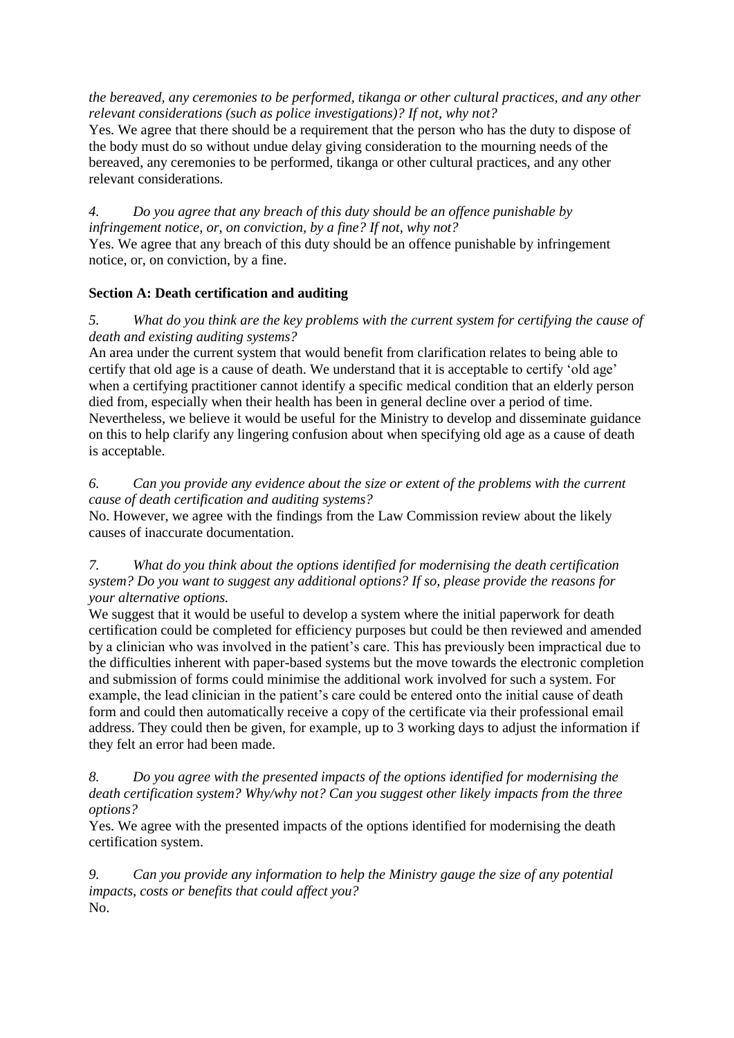*the bereaved, any ceremonies to be performed, tikanga or other cultural practices, and any other relevant considerations (such as police investigations)? If not, why not?*

Yes. We agree that there should be a requirement that the person who has the duty to dispose of the body must do so without undue delay giving consideration to the mourning needs of the bereaved, any ceremonies to be performed, tikanga or other cultural practices, and any other relevant considerations.

#### *4. Do you agree that any breach of this duty should be an offence punishable by infringement notice, or, on conviction, by a fine? If not, why not?*

Yes. We agree that any breach of this duty should be an offence punishable by infringement notice, or, on conviction, by a fine.

## **Section A: Death certification and auditing**

### *5. What do you think are the key problems with the current system for certifying the cause of death and existing auditing systems?*

An area under the current system that would benefit from clarification relates to being able to certify that old age is a cause of death. We understand that it is acceptable to certify 'old age' when a certifying practitioner cannot identify a specific medical condition that an elderly person died from, especially when their health has been in general decline over a period of time. Nevertheless, we believe it would be useful for the Ministry to develop and disseminate guidance on this to help clarify any lingering confusion about when specifying old age as a cause of death is acceptable.

#### *6. Can you provide any evidence about the size or extent of the problems with the current cause of death certification and auditing systems?*

No. However, we agree with the findings from the Law Commission review about the likely causes of inaccurate documentation.

#### *7. What do you think about the options identified for modernising the death certification system? Do you want to suggest any additional options? If so, please provide the reasons for your alternative options.*

We suggest that it would be useful to develop a system where the initial paperwork for death certification could be completed for efficiency purposes but could be then reviewed and amended by a clinician who was involved in the patient's care. This has previously been impractical due to the difficulties inherent with paper-based systems but the move towards the electronic completion and submission of forms could minimise the additional work involved for such a system. For example, the lead clinician in the patient's care could be entered onto the initial cause of death form and could then automatically receive a copy of the certificate via their professional email address. They could then be given, for example, up to 3 working days to adjust the information if they felt an error had been made.

#### *8. Do you agree with the presented impacts of the options identified for modernising the death certification system? Why/why not? Can you suggest other likely impacts from the three options?*

Yes. We agree with the presented impacts of the options identified for modernising the death certification system.

*9. Can you provide any information to help the Ministry gauge the size of any potential impacts, costs or benefits that could affect you?* No.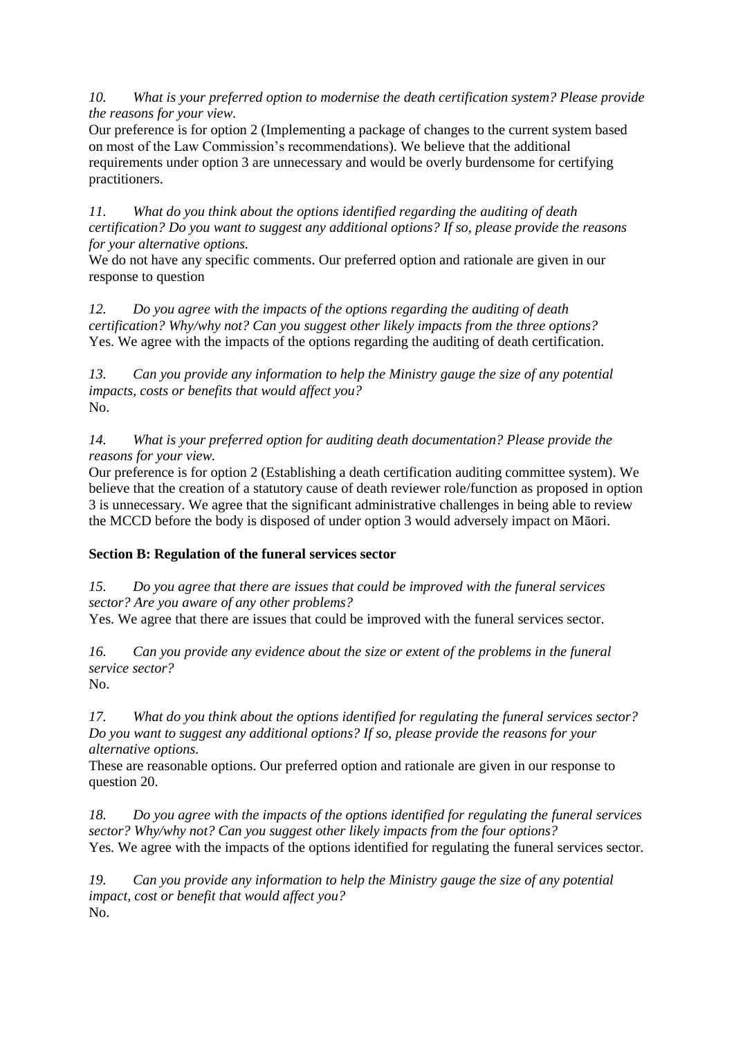*10. What is your preferred option to modernise the death certification system? Please provide the reasons for your view.*

Our preference is for option 2 (Implementing a package of changes to the current system based on most of the Law Commission's recommendations). We believe that the additional requirements under option 3 are unnecessary and would be overly burdensome for certifying practitioners.

*11. What do you think about the options identified regarding the auditing of death certification? Do you want to suggest any additional options? If so, please provide the reasons for your alternative options.*

We do not have any specific comments. Our preferred option and rationale are given in our response to question

*12. Do you agree with the impacts of the options regarding the auditing of death certification? Why/why not? Can you suggest other likely impacts from the three options?* Yes. We agree with the impacts of the options regarding the auditing of death certification.

*13. Can you provide any information to help the Ministry gauge the size of any potential impacts, costs or benefits that would affect you?* No.

*14. What is your preferred option for auditing death documentation? Please provide the reasons for your view.*

Our preference is for option 2 (Establishing a death certification auditing committee system). We believe that the creation of a statutory cause of death reviewer role/function as proposed in option 3 is unnecessary. We agree that the significant administrative challenges in being able to review the MCCD before the body is disposed of under option 3 would adversely impact on Māori.

## **Section B: Regulation of the funeral services sector**

*15. Do you agree that there are issues that could be improved with the funeral services sector? Are you aware of any other problems?*

Yes. We agree that there are issues that could be improved with the funeral services sector.

*16. Can you provide any evidence about the size or extent of the problems in the funeral service sector?*

No.

*17. What do you think about the options identified for regulating the funeral services sector? Do you want to suggest any additional options? If so, please provide the reasons for your alternative options.*

These are reasonable options. Our preferred option and rationale are given in our response to question 20.

*18. Do you agree with the impacts of the options identified for regulating the funeral services sector? Why/why not? Can you suggest other likely impacts from the four options?* Yes. We agree with the impacts of the options identified for regulating the funeral services sector.

*19. Can you provide any information to help the Ministry gauge the size of any potential impact, cost or benefit that would affect you?* No.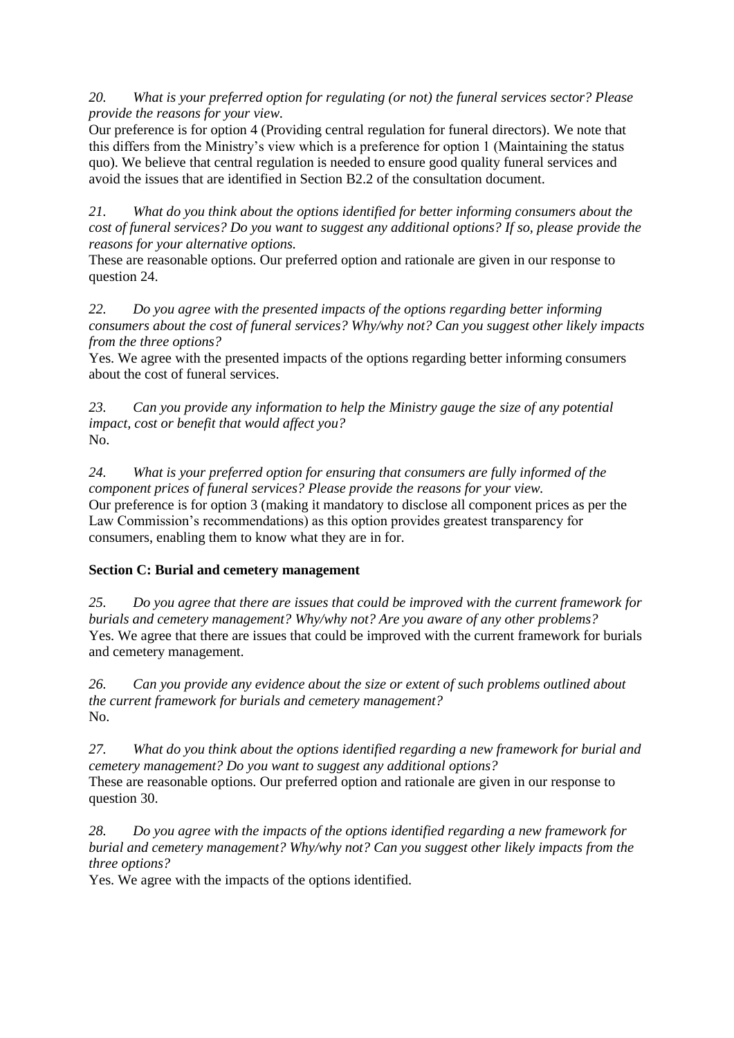*20. What is your preferred option for regulating (or not) the funeral services sector? Please provide the reasons for your view.*

Our preference is for option 4 (Providing central regulation for funeral directors). We note that this differs from the Ministry's view which is a preference for option 1 (Maintaining the status quo). We believe that central regulation is needed to ensure good quality funeral services and avoid the issues that are identified in Section B2.2 of the consultation document.

*21. What do you think about the options identified for better informing consumers about the cost of funeral services? Do you want to suggest any additional options? If so, please provide the reasons for your alternative options.*

These are reasonable options. Our preferred option and rationale are given in our response to question 24.

*22. Do you agree with the presented impacts of the options regarding better informing consumers about the cost of funeral services? Why/why not? Can you suggest other likely impacts from the three options?*

Yes. We agree with the presented impacts of the options regarding better informing consumers about the cost of funeral services.

*23. Can you provide any information to help the Ministry gauge the size of any potential impact, cost or benefit that would affect you?* No.

*24. What is your preferred option for ensuring that consumers are fully informed of the component prices of funeral services? Please provide the reasons for your view.* Our preference is for option 3 (making it mandatory to disclose all component prices as per the Law Commission's recommendations) as this option provides greatest transparency for consumers, enabling them to know what they are in for.

## **Section C: Burial and cemetery management**

*25. Do you agree that there are issues that could be improved with the current framework for burials and cemetery management? Why/why not? Are you aware of any other problems?* Yes. We agree that there are issues that could be improved with the current framework for burials and cemetery management.

*26. Can you provide any evidence about the size or extent of such problems outlined about the current framework for burials and cemetery management?* No.

*27. What do you think about the options identified regarding a new framework for burial and cemetery management? Do you want to suggest any additional options?* These are reasonable options. Our preferred option and rationale are given in our response to question 30.

*28. Do you agree with the impacts of the options identified regarding a new framework for burial and cemetery management? Why/why not? Can you suggest other likely impacts from the three options?*

Yes. We agree with the impacts of the options identified.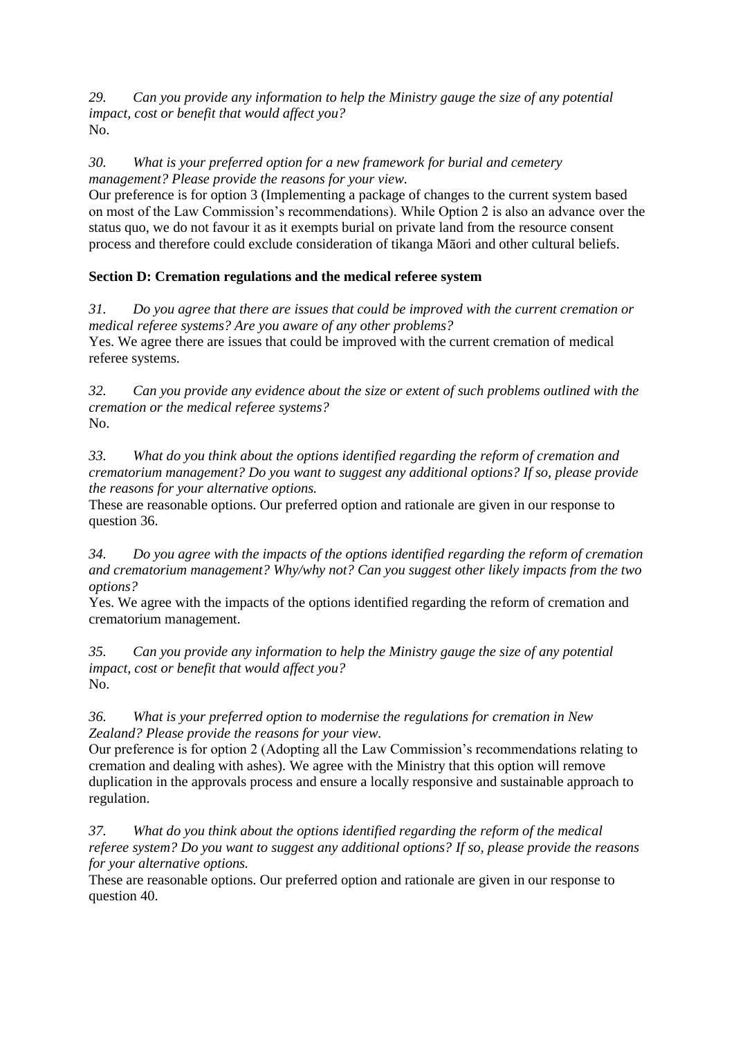*29. Can you provide any information to help the Ministry gauge the size of any potential impact, cost or benefit that would affect you?* No.

*30. What is your preferred option for a new framework for burial and cemetery management? Please provide the reasons for your view.*

Our preference is for option 3 (Implementing a package of changes to the current system based on most of the Law Commission's recommendations). While Option 2 is also an advance over the status quo, we do not favour it as it exempts burial on private land from the resource consent process and therefore could exclude consideration of tikanga Māori and other cultural beliefs.

# **Section D: Cremation regulations and the medical referee system**

*31. Do you agree that there are issues that could be improved with the current cremation or medical referee systems? Are you aware of any other problems?* Yes. We agree there are issues that could be improved with the current cremation of medical referee systems.

*32. Can you provide any evidence about the size or extent of such problems outlined with the cremation or the medical referee systems?* No.

*33. What do you think about the options identified regarding the reform of cremation and crematorium management? Do you want to suggest any additional options? If so, please provide the reasons for your alternative options.*

These are reasonable options. Our preferred option and rationale are given in our response to question 36.

*34. Do you agree with the impacts of the options identified regarding the reform of cremation and crematorium management? Why/why not? Can you suggest other likely impacts from the two options?*

Yes. We agree with the impacts of the options identified regarding the reform of cremation and crematorium management.

*35. Can you provide any information to help the Ministry gauge the size of any potential impact, cost or benefit that would affect you?* No.

*36. What is your preferred option to modernise the regulations for cremation in New Zealand? Please provide the reasons for your view.*

Our preference is for option 2 (Adopting all the Law Commission's recommendations relating to cremation and dealing with ashes). We agree with the Ministry that this option will remove duplication in the approvals process and ensure a locally responsive and sustainable approach to regulation.

*37. What do you think about the options identified regarding the reform of the medical referee system? Do you want to suggest any additional options? If so, please provide the reasons for your alternative options.*

These are reasonable options. Our preferred option and rationale are given in our response to question 40.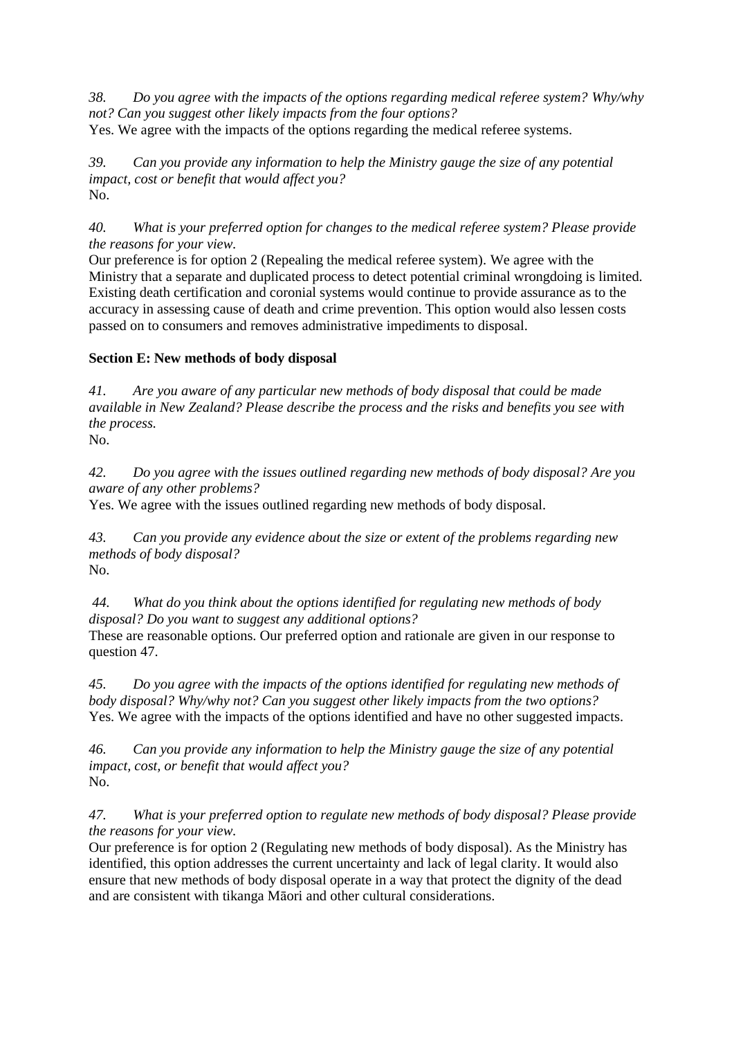*38. Do you agree with the impacts of the options regarding medical referee system? Why/why not? Can you suggest other likely impacts from the four options?* Yes. We agree with the impacts of the options regarding the medical referee systems.

*39. Can you provide any information to help the Ministry gauge the size of any potential impact, cost or benefit that would affect you?* No.

## *40. What is your preferred option for changes to the medical referee system? Please provide the reasons for your view.*

Our preference is for option 2 (Repealing the medical referee system). We agree with the Ministry that a separate and duplicated process to detect potential criminal wrongdoing is limited. Existing death certification and coronial systems would continue to provide assurance as to the accuracy in assessing cause of death and crime prevention. This option would also lessen costs passed on to consumers and removes administrative impediments to disposal.

# **Section E: New methods of body disposal**

*41. Are you aware of any particular new methods of body disposal that could be made available in New Zealand? Please describe the process and the risks and benefits you see with the process.*

No.

*42. Do you agree with the issues outlined regarding new methods of body disposal? Are you aware of any other problems?*

Yes. We agree with the issues outlined regarding new methods of body disposal.

*43. Can you provide any evidence about the size or extent of the problems regarding new methods of body disposal?*

No.

*44. What do you think about the options identified for regulating new methods of body disposal? Do you want to suggest any additional options?*

These are reasonable options. Our preferred option and rationale are given in our response to question 47.

*45. Do you agree with the impacts of the options identified for regulating new methods of body disposal? Why/why not? Can you suggest other likely impacts from the two options?* Yes. We agree with the impacts of the options identified and have no other suggested impacts.

*46. Can you provide any information to help the Ministry gauge the size of any potential impact, cost, or benefit that would affect you?* No.

*47. What is your preferred option to regulate new methods of body disposal? Please provide the reasons for your view.*

Our preference is for option 2 (Regulating new methods of body disposal). As the Ministry has identified, this option addresses the current uncertainty and lack of legal clarity. It would also ensure that new methods of body disposal operate in a way that protect the dignity of the dead and are consistent with tikanga Māori and other cultural considerations.